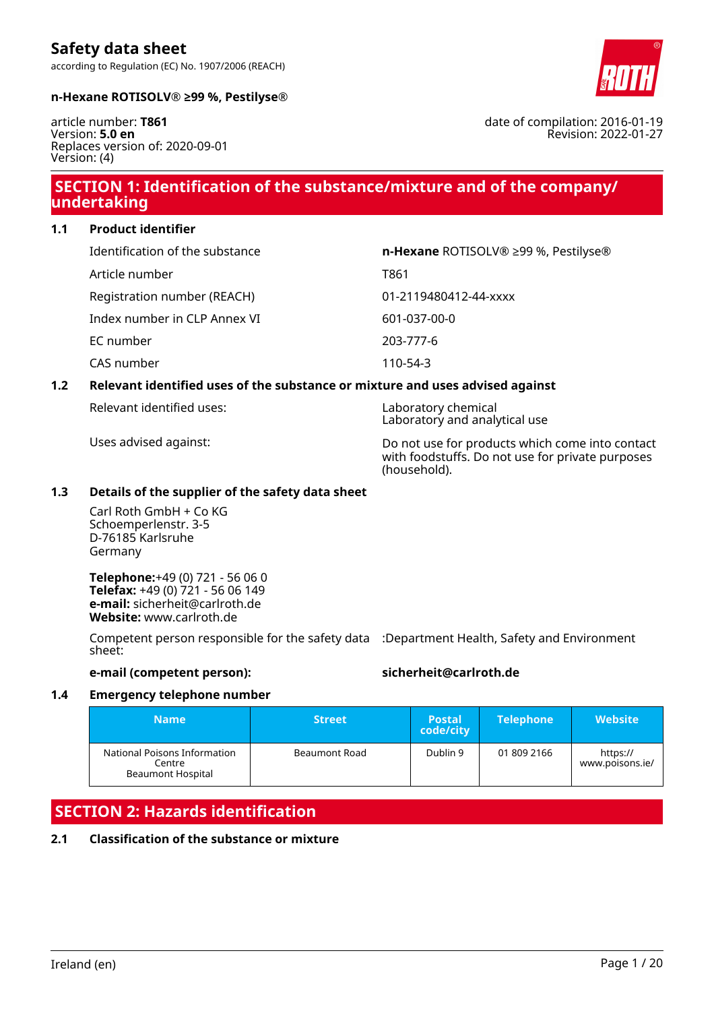

#### **n-Hexane ROTISOLV® ≥99 %, Pestilyse®**

according to Regulation (EC) No. 1907/2006 (REACH)

article number: **T861** Version: **5.0 en** Replaces version of: 2020-09-01 Version: (4)

# **SECTION 1: Identification of the substance/mixture and of the company/ undertaking**

**1.1 Product identifier**

| Identification of the substance | <b>n-Hexane ROTISOLV® ≥99 %, Pestilyse®</b> |
|---------------------------------|---------------------------------------------|
| Article number                  | T861                                        |
| Registration number (REACH)     | 01-2119480412-44-xxxx                       |
| Index number in CLP Annex VI    | 601-037-00-0                                |
| EC number                       | 203-777-6                                   |
| CAS number                      | 110-54-3                                    |

# **1.2 Relevant identified uses of the substance or mixture and uses advised against**

Relevant identified uses: Laboratory chemical

Laboratory and analytical use

Uses advised against: Do not use for products which come into contact with foodstuffs. Do not use for private purposes (household).

# **1.3 Details of the supplier of the safety data sheet**

Carl Roth GmbH + Co KG Schoemperlenstr. 3-5 D-76185 Karlsruhe Germany

**Telephone:**+49 (0) 721 - 56 06 0 **Telefax:** +49 (0) 721 - 56 06 149 **e-mail:** sicherheit@carlroth.de **Website:** www.carlroth.de

Competent person responsible for the safety data :Department Health, Safety and Environment sheet:

**e-mail (competent person): sicherheit@carlroth.de**

#### **1.4 Emergency telephone number**

| <b>Name</b>                                                        | <b>Street</b> | <b>Postal</b><br>code/city | <b>Telephone</b> | <b>Website</b>              |
|--------------------------------------------------------------------|---------------|----------------------------|------------------|-----------------------------|
| National Poisons Information<br>Centre<br><b>Beaumont Hospital</b> | Beaumont Road | Dublin 9                   | 01 809 2166      | https://<br>www.poisons.ie/ |

# **SECTION 2: Hazards identification**

# **2.1 Classification of the substance or mixture**

date of compilation: 2016-01-19 Revision: 2022-01-27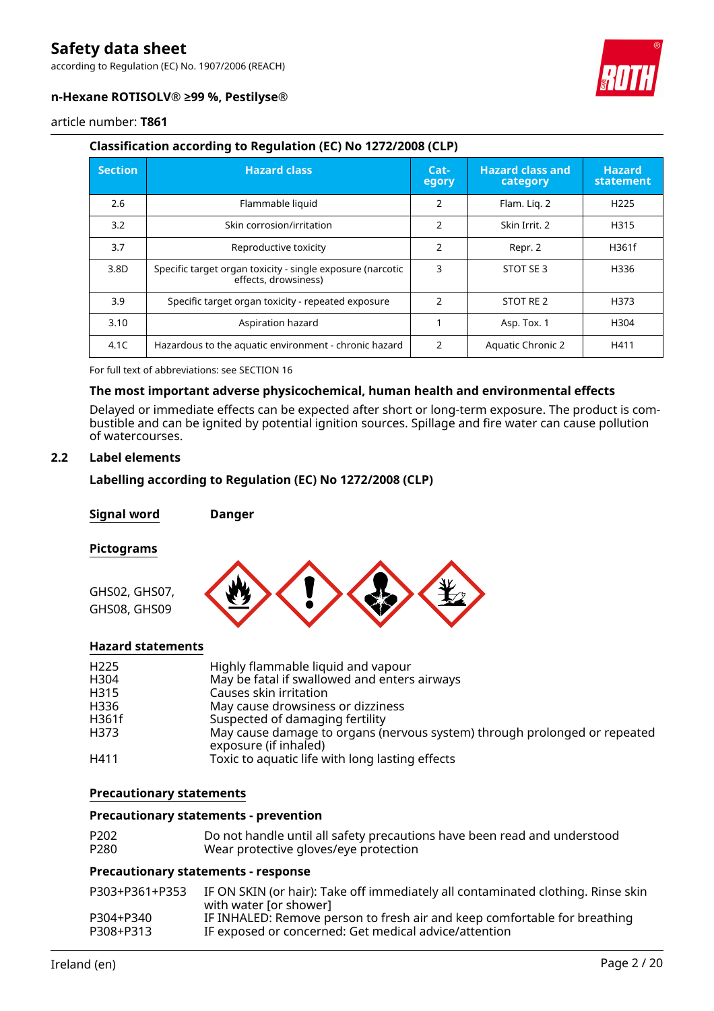according to Regulation (EC) No. 1907/2006 (REACH)



# **n-Hexane ROTISOLV® ≥99 %, Pestilyse®**

article number: **T861**

# **Classification according to Regulation (EC) No 1272/2008 (CLP)**

| <b>Section</b> | <b>Hazard class</b>                                                                | $Cat-$<br>egory | <b>Hazard class and</b><br>category | <b>Hazard</b><br>statement |
|----------------|------------------------------------------------------------------------------------|-----------------|-------------------------------------|----------------------------|
| 2.6            | Flammable liquid                                                                   | 2               | Flam. Lig. 2                        | H <sub>225</sub>           |
| 3.2            | Skin corrosion/irritation                                                          | $\overline{2}$  | Skin Irrit. 2                       | H315                       |
| 3.7            | Reproductive toxicity                                                              | $\overline{2}$  | Repr. 2                             | H361f                      |
| 3.8D           | Specific target organ toxicity - single exposure (narcotic<br>effects, drowsiness) | 3               | STOT SE 3                           | H336                       |
| 3.9            | Specific target organ toxicity - repeated exposure                                 | $\mathfrak{p}$  | STOT RE 2                           | H373                       |
| 3.10           | Aspiration hazard                                                                  |                 | Asp. Tox. 1                         | H304                       |
| 4.1C           | Hazardous to the aquatic environment - chronic hazard                              | $\mathcal{P}$   | <b>Aquatic Chronic 2</b>            | H411                       |

For full text of abbreviations: see SECTION 16

# **The most important adverse physicochemical, human health and environmental effects**

Delayed or immediate effects can be expected after short or long-term exposure. The product is combustible and can be ignited by potential ignition sources. Spillage and fire water can cause pollution of watercourses.

# **2.2 Label elements**

# **Labelling according to Regulation (EC) No 1272/2008 (CLP)**

**Signal word Danger**

#### **Pictograms**



# **Hazard statements**

| H <sub>225</sub> | Highly flammable liquid and vapour                                                                 |
|------------------|----------------------------------------------------------------------------------------------------|
| H304             | May be fatal if swallowed and enters airways                                                       |
| H315             | Causes skin irritation                                                                             |
| H336             | May cause drowsiness or dizziness                                                                  |
| H361f            | Suspected of damaging fertility                                                                    |
| H373             | May cause damage to organs (nervous system) through prolonged or repeated<br>exposure (if inhaled) |
| H411             | Toxic to aquatic life with long lasting effects                                                    |

#### **Precautionary statements**

#### **Precautionary statements - prevention**

| P <sub>202</sub> | Do not handle until all safety precautions have been read and understood |
|------------------|--------------------------------------------------------------------------|
| P <sub>280</sub> | Wear protective gloves/eye protection                                    |

#### **Precautionary statements - response**

| P303+P361+P353 | IF ON SKIN (or hair): Take off immediately all contaminated clothing. Rinse skin<br>with water for shower] |
|----------------|------------------------------------------------------------------------------------------------------------|
| P304+P340      | IF INHALED: Remove person to fresh air and keep comfortable for breathing                                  |
| P308+P313      | IF exposed or concerned: Get medical advice/attention                                                      |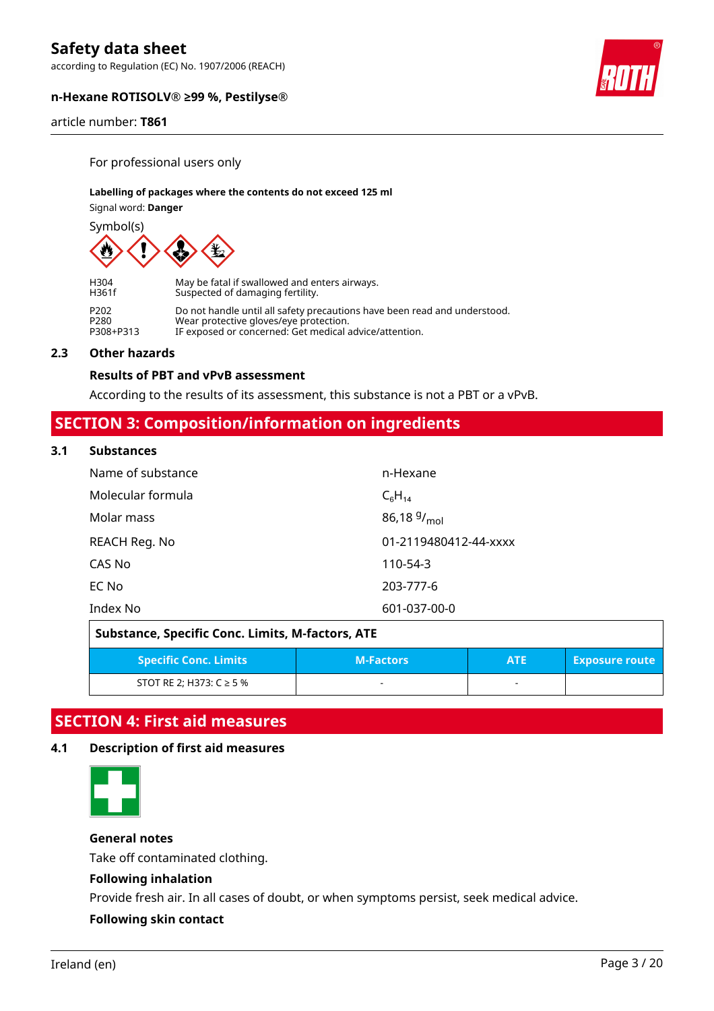according to Regulation (EC) No. 1907/2006 (REACH)



article number: **T861**

For professional users only

#### **Labelling of packages where the contents do not exceed 125 ml**

Signal word: **Danger**

Symbol(s)



H304 May be fatal if swallowed and enters airways. Suspected of damaging fertility. P202 Do not handle until all safety precautions have been read and understood.<br>P280 Wear protective gloves/eve protection P280 Wear protective gloves/eye protection. P308+P313 IF exposed or concerned: Get medical advice/attention.

#### **2.3 Other hazards**

# **Results of PBT and vPvB assessment**

According to the results of its assessment, this substance is not a PBT or a vPvB.

# **SECTION 3: Composition/information on ingredients**

#### **3.1 Substances**

| Name of substance | n-Hexane              |
|-------------------|-----------------------|
| Molecular formula | $C_6H_{14}$           |
| Molar mass        | 86,18 $9/_{mol}$      |
| REACH Reg. No     | 01-2119480412-44-xxxx |
| CAS No            | 110-54-3              |
| EC No             | 203-777-6             |
| Index No          | 601-037-00-0          |

| Substance, Specific Conc. Limits, M-factors, ATE                                        |   |  |  |  |  |  |
|-----------------------------------------------------------------------------------------|---|--|--|--|--|--|
| <b>Specific Conc. Limits</b><br><b>M-Factors</b><br><b>Exposure route</b><br><b>ATE</b> |   |  |  |  |  |  |
| STOT RE 2; H373: $C \ge 5$ %                                                            | - |  |  |  |  |  |

# **SECTION 4: First aid measures**

# **4.1 Description of first aid measures**



# **General notes**

Take off contaminated clothing.

# **Following inhalation**

Provide fresh air. In all cases of doubt, or when symptoms persist, seek medical advice.

# **Following skin contact**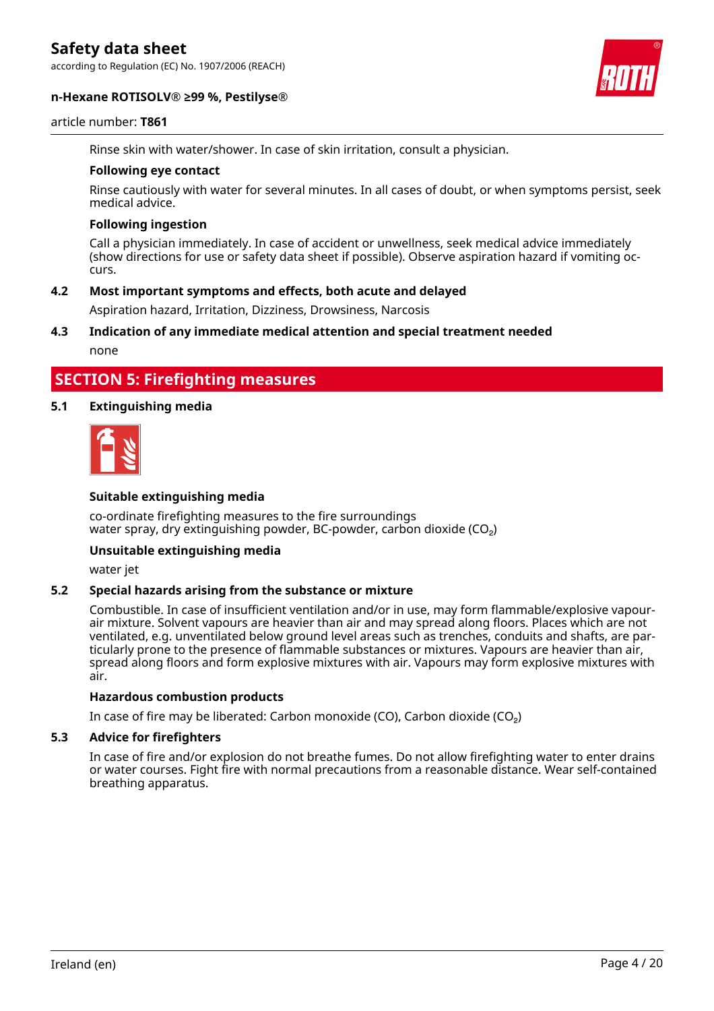according to Regulation (EC) No. 1907/2006 (REACH)





#### article number: **T861**

Rinse skin with water/shower. In case of skin irritation, consult a physician.

#### **Following eye contact**

Rinse cautiously with water for several minutes. In all cases of doubt, or when symptoms persist, seek medical advice.

#### **Following ingestion**

Call a physician immediately. In case of accident or unwellness, seek medical advice immediately (show directions for use or safety data sheet if possible). Observe aspiration hazard if vomiting occurs.

# **4.2 Most important symptoms and effects, both acute and delayed**

Aspiration hazard, Irritation, Dizziness, Drowsiness, Narcosis

# **4.3 Indication of any immediate medical attention and special treatment needed**

none

# **SECTION 5: Firefighting measures**

# **5.1 Extinguishing media**



#### **Suitable extinguishing media**

co-ordinate firefighting measures to the fire surroundings water spray, dry extinguishing powder, BC-powder, carbon dioxide  $(CO<sub>2</sub>)$ 

#### **Unsuitable extinguishing media**

water jet

# **5.2 Special hazards arising from the substance or mixture**

Combustible. In case of insufficient ventilation and/or in use, may form flammable/explosive vapourair mixture. Solvent vapours are heavier than air and may spread along floors. Places which are not ventilated, e.g. unventilated below ground level areas such as trenches, conduits and shafts, are particularly prone to the presence of flammable substances or mixtures. Vapours are heavier than air, spread along floors and form explosive mixtures with air. Vapours may form explosive mixtures with air.

#### **Hazardous combustion products**

In case of fire may be liberated: Carbon monoxide (CO), Carbon dioxide (CO₂)

#### **5.3 Advice for firefighters**

In case of fire and/or explosion do not breathe fumes. Do not allow firefighting water to enter drains or water courses. Fight fire with normal precautions from a reasonable distance. Wear self-contained breathing apparatus.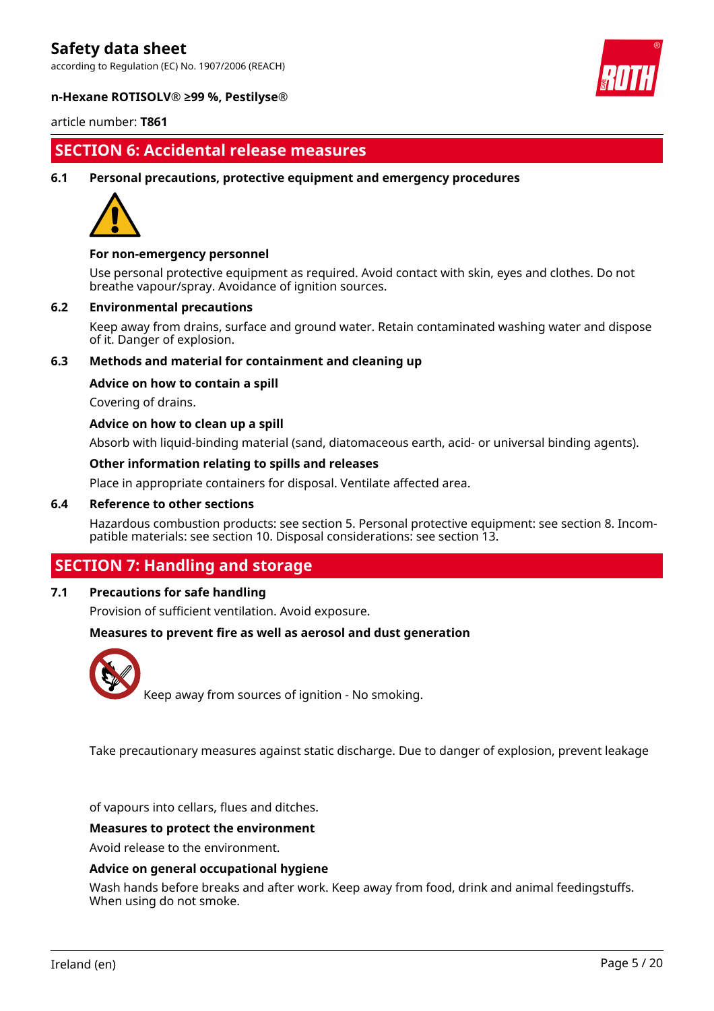according to Regulation (EC) No. 1907/2006 (REACH)



#### **n-Hexane ROTISOLV® ≥99 %, Pestilyse®**

article number: **T861**

# **SECTION 6: Accidental release measures**

#### **6.1 Personal precautions, protective equipment and emergency procedures**



#### **For non-emergency personnel**

Use personal protective equipment as required. Avoid contact with skin, eyes and clothes. Do not breathe vapour/spray. Avoidance of ignition sources.

#### **6.2 Environmental precautions**

Keep away from drains, surface and ground water. Retain contaminated washing water and dispose of it. Danger of explosion.

# **6.3 Methods and material for containment and cleaning up**

#### **Advice on how to contain a spill**

Covering of drains.

#### **Advice on how to clean up a spill**

Absorb with liquid-binding material (sand, diatomaceous earth, acid- or universal binding agents).

#### **Other information relating to spills and releases**

Place in appropriate containers for disposal. Ventilate affected area.

#### **6.4 Reference to other sections**

Hazardous combustion products: see section 5. Personal protective equipment: see section 8. Incompatible materials: see section 10. Disposal considerations: see section 13.

# **SECTION 7: Handling and storage**

# **7.1 Precautions for safe handling**

Provision of sufficient ventilation. Avoid exposure.

#### **Measures to prevent fire as well as aerosol and dust generation**



Keep away from sources of ignition - No smoking.

Take precautionary measures against static discharge. Due to danger of explosion, prevent leakage

of vapours into cellars, flues and ditches.

#### **Measures to protect the environment**

Avoid release to the environment.

#### **Advice on general occupational hygiene**

Wash hands before breaks and after work. Keep away from food, drink and animal feedingstuffs. When using do not smoke.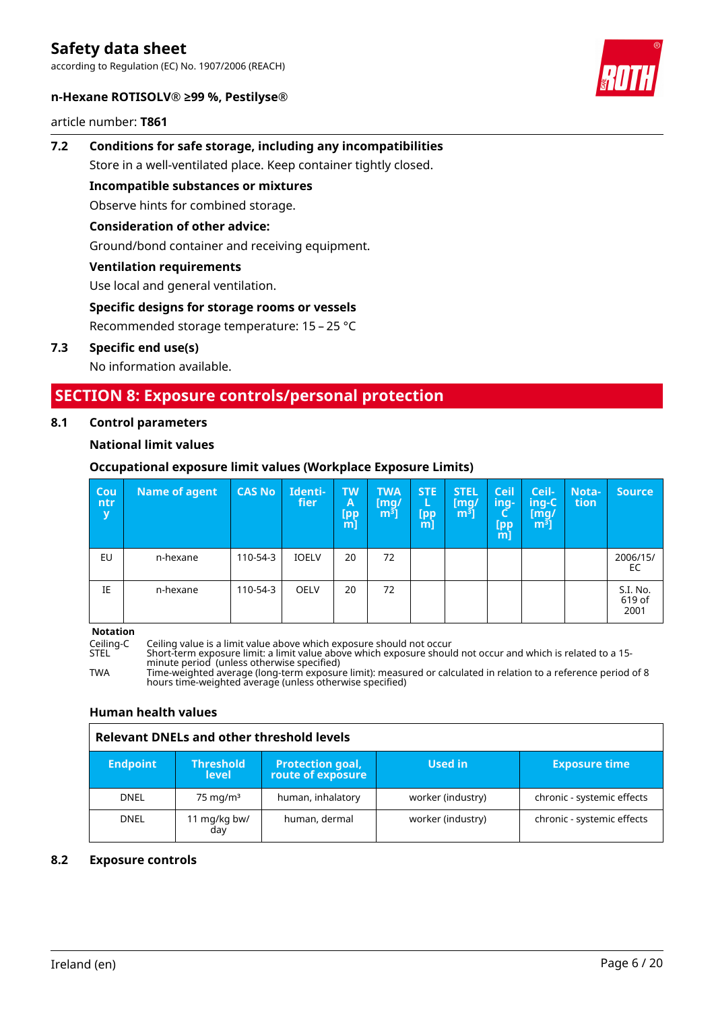according to Regulation (EC) No. 1907/2006 (REACH)



#### **n-Hexane ROTISOLV® ≥99 %, Pestilyse®**

article number: **T861**

# **7.2 Conditions for safe storage, including any incompatibilities** Store in a well-ventilated place. Keep container tightly closed. **Incompatible substances or mixtures**

Observe hints for combined storage.

# **Consideration of other advice:**

Ground/bond container and receiving equipment.

# **Ventilation requirements**

Use local and general ventilation.

# **Specific designs for storage rooms or vessels**

Recommended storage temperature: 15 – 25 °C

# **7.3 Specific end use(s)**

No information available.

# **SECTION 8: Exposure controls/personal protection**

#### **8.1 Control parameters**

# **National limit values**

# **Occupational exposure limit values (Workplace Exposure Limits)**

| Cou<br>ntr<br>y | Name of agent | <b>CAS No</b> | Identi-<br>fier | <b>TW</b><br>A<br><b>Ipp</b><br>[m] | <b>TWA</b><br>[mq/<br>$m3$ ] | <b>STE</b><br>Щ<br>[pp<br>m] | <b>STEL</b><br>[mq/<br>m <sup>3</sup> | <b>Ceil</b><br>ing-<br>ч<br>[pp<br>$m$ ] | Ceil-<br>ing-C<br>[mg/<br>m <sup>3</sup> | Nota-<br>tion | <b>Source</b>              |
|-----------------|---------------|---------------|-----------------|-------------------------------------|------------------------------|------------------------------|---------------------------------------|------------------------------------------|------------------------------------------|---------------|----------------------------|
| EU              | n-hexane      | 110-54-3      | <b>IOELV</b>    | 20                                  | 72                           |                              |                                       |                                          |                                          |               | 2006/15/<br>EC             |
| IE              | n-hexane      | 110-54-3      | <b>OELV</b>     | 20                                  | 72                           |                              |                                       |                                          |                                          |               | S.I. No.<br>619 of<br>2001 |

**Notation**

Ceiling-C Ceiling value is a limit value above which exposure should not occur

STEL Short-term exposure limit: a limit value above which exposure should not occur and which is related to a 15 minute period (unless otherwise specified)

TWA Time-weighted average (long-term exposure limit): measured or calculated in relation to a reference period of 8 hours time-weighted average (unless otherwise specified)

# **Human health values**

# **Relevant DNELs and other threshold levels**

| <b>Endpoint</b> | <b>Threshold</b><br><b>level</b> | <b>Protection goal,</b><br>route of exposure | Used in           | <b>Exposure time</b>       |
|-----------------|----------------------------------|----------------------------------------------|-------------------|----------------------------|
| <b>DNEL</b>     | $75 \text{ mg/m}^3$              | human, inhalatory                            | worker (industry) | chronic - systemic effects |
| <b>DNEL</b>     | 11 mg/kg bw/<br>day              | human, dermal                                | worker (industry) | chronic - systemic effects |

# **8.2 Exposure controls**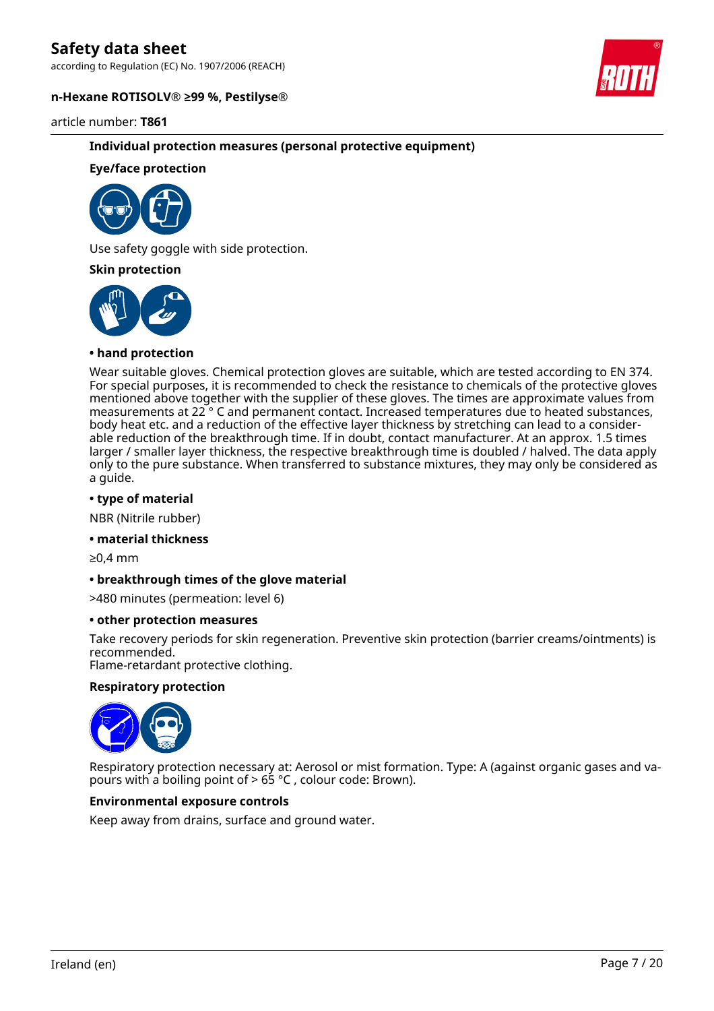according to Regulation (EC) No. 1907/2006 (REACH)

#### **n-Hexane ROTISOLV® ≥99 %, Pestilyse®**

article number: **T861**

# **Individual protection measures (personal protective equipment)**

# **Eye/face protection**

Use safety goggle with side protection.

#### **Skin protection**



#### **• hand protection**

Wear suitable gloves. Chemical protection gloves are suitable, which are tested according to EN 374. For special purposes, it is recommended to check the resistance to chemicals of the protective gloves mentioned above together with the supplier of these gloves. The times are approximate values from measurements at 22 ° C and permanent contact. Increased temperatures due to heated substances, body heat etc. and a reduction of the effective layer thickness by stretching can lead to a considerable reduction of the breakthrough time. If in doubt, contact manufacturer. At an approx. 1.5 times larger / smaller layer thickness, the respective breakthrough time is doubled / halved. The data apply only to the pure substance. When transferred to substance mixtures, they may only be considered as a guide.

#### **• type of material**

NBR (Nitrile rubber)

#### **• material thickness**

≥0,4 mm

#### **• breakthrough times of the glove material**

>480 minutes (permeation: level 6)

#### **• other protection measures**

Take recovery periods for skin regeneration. Preventive skin protection (barrier creams/ointments) is recommended.

Flame-retardant protective clothing.

#### **Respiratory protection**



Respiratory protection necessary at: Aerosol or mist formation. Type: A (against organic gases and vapours with a boiling point of  $> 65$  °C, colour code: Brown).

# **Environmental exposure controls**

Keep away from drains, surface and ground water.



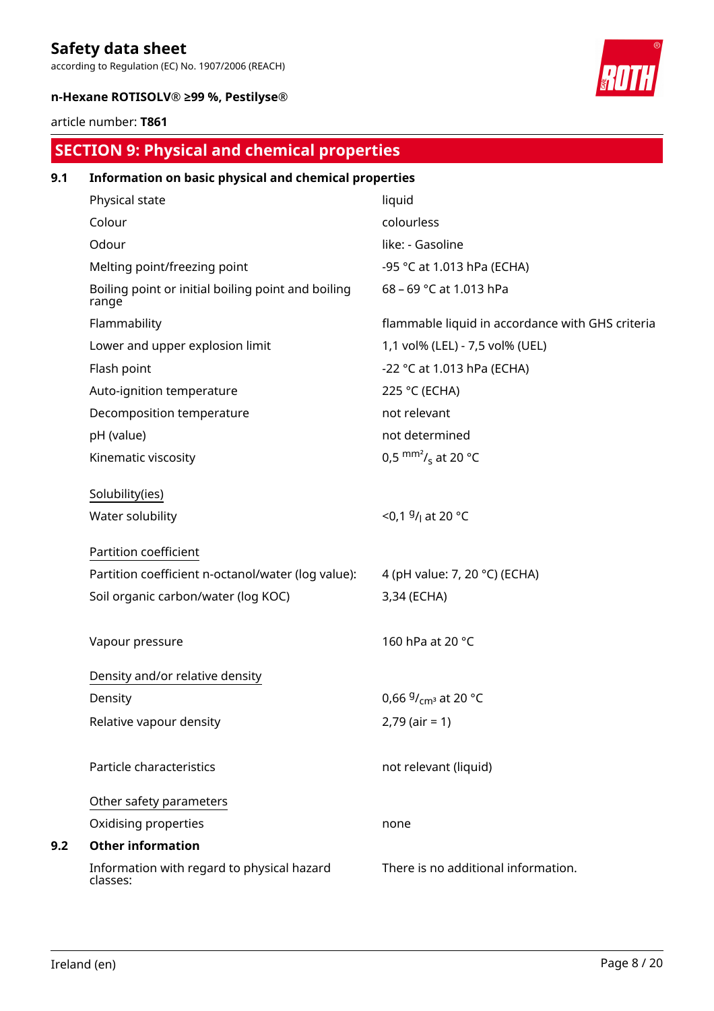according to Regulation (EC) No. 1907/2006 (REACH)



# **n-Hexane ROTISOLV® ≥99 %, Pestilyse®**

# article number: **T861**

# **SECTION 9: Physical and chemical properties**

| 9.1 | Information on basic physical and chemical properties       |                                                  |  |  |  |  |
|-----|-------------------------------------------------------------|--------------------------------------------------|--|--|--|--|
|     | Physical state                                              | liquid                                           |  |  |  |  |
|     | Colour                                                      | colourless                                       |  |  |  |  |
|     | Odour                                                       | like: - Gasoline                                 |  |  |  |  |
|     | Melting point/freezing point                                | -95 °C at 1.013 hPa (ECHA)                       |  |  |  |  |
|     | Boiling point or initial boiling point and boiling<br>range | 68 - 69 °C at 1.013 hPa                          |  |  |  |  |
|     | Flammability                                                | flammable liquid in accordance with GHS criteria |  |  |  |  |
|     | Lower and upper explosion limit                             | 1,1 vol% (LEL) - 7,5 vol% (UEL)                  |  |  |  |  |
|     | Flash point                                                 | -22 °C at 1.013 hPa (ECHA)                       |  |  |  |  |
|     | Auto-ignition temperature                                   | 225 °C (ECHA)                                    |  |  |  |  |
|     | Decomposition temperature                                   | not relevant                                     |  |  |  |  |
|     | pH (value)                                                  | not determined                                   |  |  |  |  |
|     | Kinematic viscosity                                         | 0,5 $\text{mm}^2$ / <sub>s</sub> at 20 °C        |  |  |  |  |
|     | Solubility(ies)                                             |                                                  |  |  |  |  |
|     | Water solubility                                            | <0,1 $9/1$ at 20 °C                              |  |  |  |  |
|     | Partition coefficient                                       |                                                  |  |  |  |  |
|     | Partition coefficient n-octanol/water (log value):          | 4 (pH value: 7, 20 °C) (ECHA)                    |  |  |  |  |
|     | Soil organic carbon/water (log KOC)                         | 3,34 (ECHA)                                      |  |  |  |  |
|     | Vapour pressure                                             | 160 hPa at 20 °C                                 |  |  |  |  |
|     | Density and/or relative density                             |                                                  |  |  |  |  |
|     | Density                                                     | 0,66 $9/_{cm^3}$ at 20 °C                        |  |  |  |  |
|     | Relative vapour density                                     | $2,79$ (air = 1)                                 |  |  |  |  |
|     | Particle characteristics                                    | not relevant (liquid)                            |  |  |  |  |
|     | Other safety parameters                                     |                                                  |  |  |  |  |
|     | Oxidising properties                                        | none                                             |  |  |  |  |
| 9.2 | <b>Other information</b>                                    |                                                  |  |  |  |  |
|     | Information with regard to physical hazard<br>classes:      | There is no additional information.              |  |  |  |  |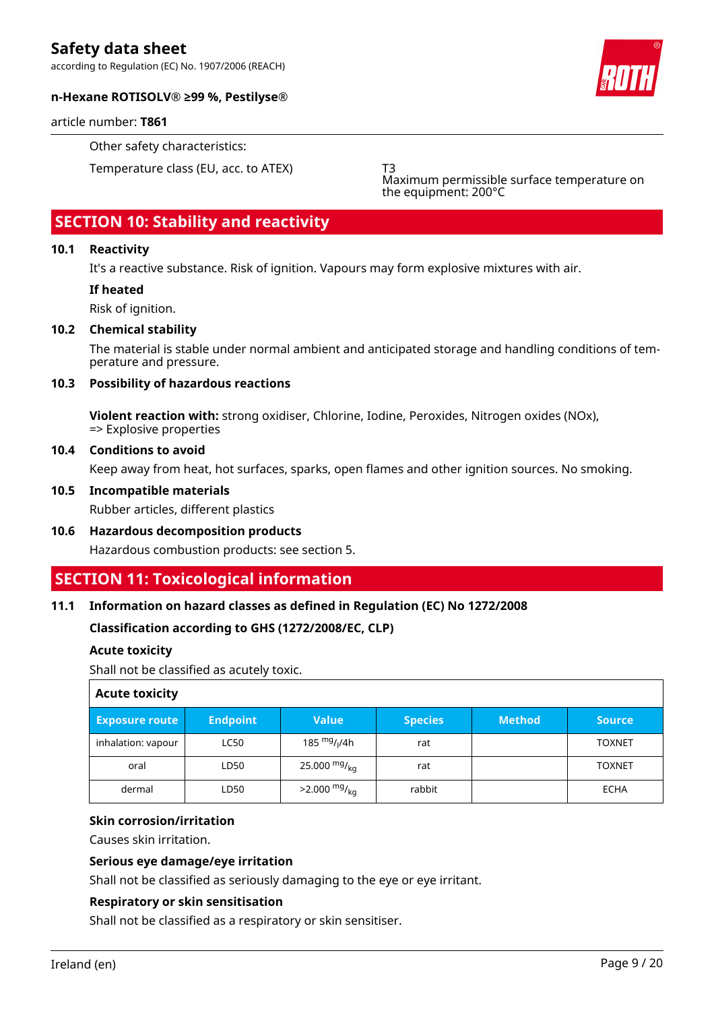according to Regulation (EC) No. 1907/2006 (REACH)



# **n-Hexane ROTISOLV® ≥99 %, Pestilyse®**

article number: **T861**

Other safety characteristics:

Temperature class (EU, acc. to ATEX) T3

Maximum permissible surface temperature on the equipment: 200°C

# **SECTION 10: Stability and reactivity**

# **10.1 Reactivity**

It's a reactive substance. Risk of ignition. Vapours may form explosive mixtures with air.

# **If heated**

Risk of ignition.

# **10.2 Chemical stability**

The material is stable under normal ambient and anticipated storage and handling conditions of temperature and pressure.

# **10.3 Possibility of hazardous reactions**

**Violent reaction with:** strong oxidiser, Chlorine, Iodine, Peroxides, Nitrogen oxides (NOx), => Explosive properties

#### **10.4 Conditions to avoid**

Keep away from heat, hot surfaces, sparks, open flames and other ignition sources. No smoking.

#### **10.5 Incompatible materials**

Rubber articles, different plastics

**10.6 Hazardous decomposition products** Hazardous combustion products: see section 5.

# **SECTION 11: Toxicological information**

# **11.1 Information on hazard classes as defined in Regulation (EC) No 1272/2008**

# **Classification according to GHS (1272/2008/EC, CLP)**

# **Acute toxicity**

Shall not be classified as acutely toxic.

| <b>Acute toxicity</b> |                 |                                      |                |               |               |  |  |
|-----------------------|-----------------|--------------------------------------|----------------|---------------|---------------|--|--|
| <b>Exposure route</b> | <b>Endpoint</b> | <b>Value</b>                         | <b>Species</b> | <b>Method</b> | <b>Source</b> |  |  |
| inhalation: vapour    | <b>LC50</b>     | 185 <sup>mg</sup> / <sub>l</sub> /4h | rat            |               | <b>TOXNET</b> |  |  |
| oral                  | LD50            | 25.000 $mg/kq$                       | rat            |               | <b>TOXNET</b> |  |  |
| dermal                | LD50            | $>2.000$ mg/ <sub>kg</sub>           | rabbit         |               | <b>ECHA</b>   |  |  |

# **Skin corrosion/irritation**

Causes skin irritation.

# **Serious eye damage/eye irritation**

Shall not be classified as seriously damaging to the eye or eye irritant.

# **Respiratory or skin sensitisation**

Shall not be classified as a respiratory or skin sensitiser.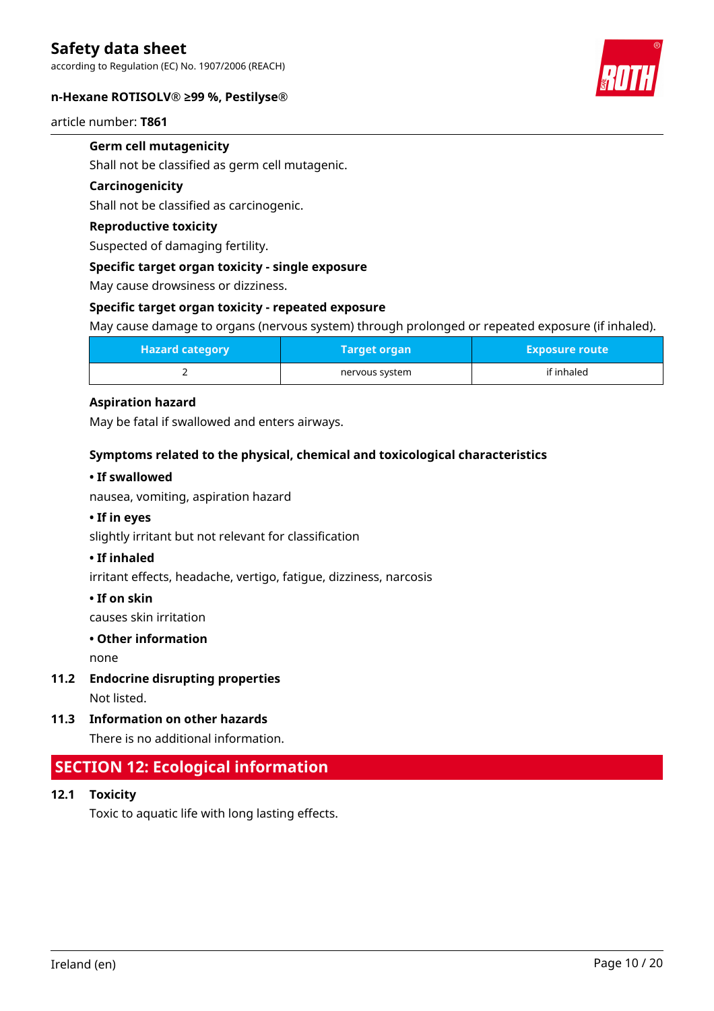according to Regulation (EC) No. 1907/2006 (REACH)

#### **n-Hexane ROTISOLV® ≥99 %, Pestilyse®**

article number: **T861**

# **Germ cell mutagenicity**

Shall not be classified as germ cell mutagenic.

### **Carcinogenicity**

Shall not be classified as carcinogenic.

# **Reproductive toxicity**

Suspected of damaging fertility.

#### **Specific target organ toxicity - single exposure**

May cause drowsiness or dizziness.

#### **Specific target organ toxicity - repeated exposure**

May cause damage to organs (nervous system) through prolonged or repeated exposure (if inhaled).

| <b>Hazard category</b> |                | <b>Exposure route</b> |
|------------------------|----------------|-----------------------|
|                        | nervous system | if inhaled            |

# **Aspiration hazard**

May be fatal if swallowed and enters airways.

#### **Symptoms related to the physical, chemical and toxicological characteristics**

#### **• If swallowed**

nausea, vomiting, aspiration hazard

# **• If in eyes**

slightly irritant but not relevant for classification

### **• If inhaled**

irritant effects, headache, vertigo, fatigue, dizziness, narcosis

#### **• If on skin**

causes skin irritation

#### **• Other information**

none

**11.2 Endocrine disrupting properties**

Not listed.

**11.3 Information on other hazards**

There is no additional information.

# **SECTION 12: Ecological information**

**12.1 Toxicity**

Toxic to aquatic life with long lasting effects.

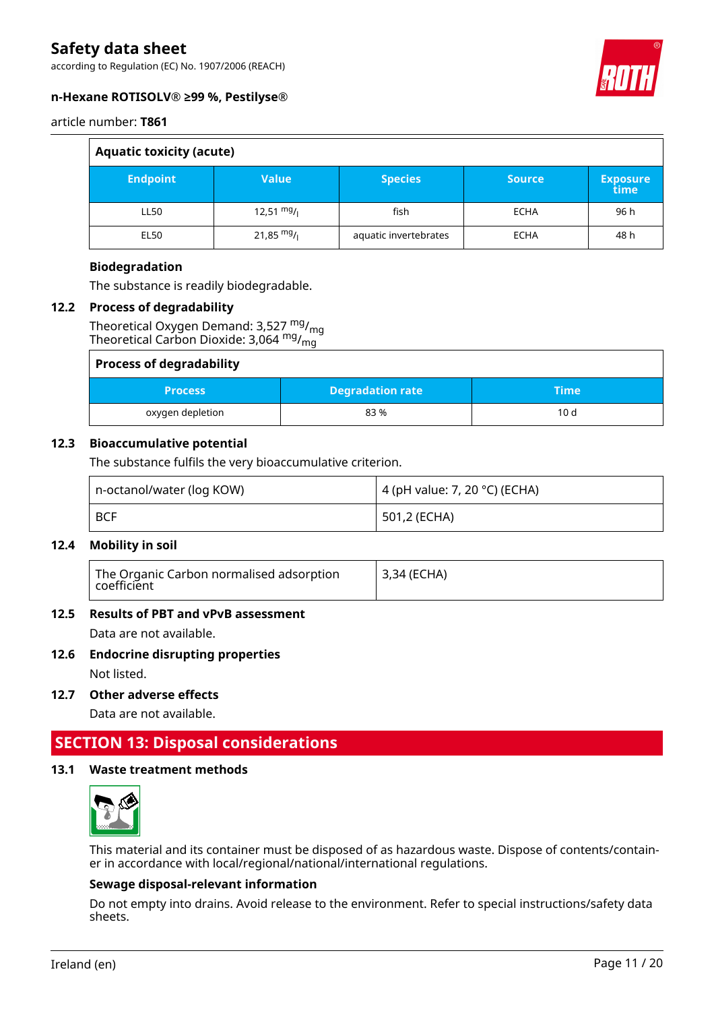according to Regulation (EC) No. 1907/2006 (REACH)



# **n-Hexane ROTISOLV® ≥99 %, Pestilyse®**

article number: **T861**

| <b>Aquatic toxicity (acute)</b> |                      |                       |               |                         |  |
|---------------------------------|----------------------|-----------------------|---------------|-------------------------|--|
| <b>Endpoint</b>                 | <b>Value</b>         | <b>Species</b>        | <b>Source</b> | <b>Exposure</b><br>time |  |
| LL50                            | $12,51 \frac{mg}{l}$ | fish                  | <b>ECHA</b>   | 96 h                    |  |
| <b>EL50</b>                     | 21,85 $mg/$          | aquatic invertebrates | <b>ECHA</b>   | 48 h                    |  |

# **Biodegradation**

The substance is readily biodegradable.

# **12.2 Process of degradability**

Theoretical Oxygen Demand:  $3,527 \frac{mg}{mg}$ Theoretical Carbon Dioxide: 3,064 mg/<sub>mg</sub>

| <b>Process of degradability</b> |                         |       |
|---------------------------------|-------------------------|-------|
| <b>Process</b>                  | <b>Degradation rate</b> | :Time |
| oxygen depletion                | 83%                     | 10d   |

# **12.3 Bioaccumulative potential**

The substance fulfils the very bioaccumulative criterion.

| n-octanol/water (log KOW) | 4 (pH value: 7, 20 °C) (ECHA) |
|---------------------------|-------------------------------|
| <b>BCF</b>                | 501,2 (ECHA)                  |

# **12.4 Mobility in soil**

| <sup> </sup> The Organic Carbon normalised adsorption<br>coefficient | 3,34 (ECHA) |
|----------------------------------------------------------------------|-------------|
|----------------------------------------------------------------------|-------------|

# **12.5 Results of PBT and vPvB assessment**

Data are not available.

# **12.6 Endocrine disrupting properties**

Not listed.

**12.7 Other adverse effects**

Data are not available.

# **SECTION 13: Disposal considerations**

# **13.1 Waste treatment methods**



This material and its container must be disposed of as hazardous waste. Dispose of contents/container in accordance with local/regional/national/international regulations.

# **Sewage disposal-relevant information**

Do not empty into drains. Avoid release to the environment. Refer to special instructions/safety data sheets.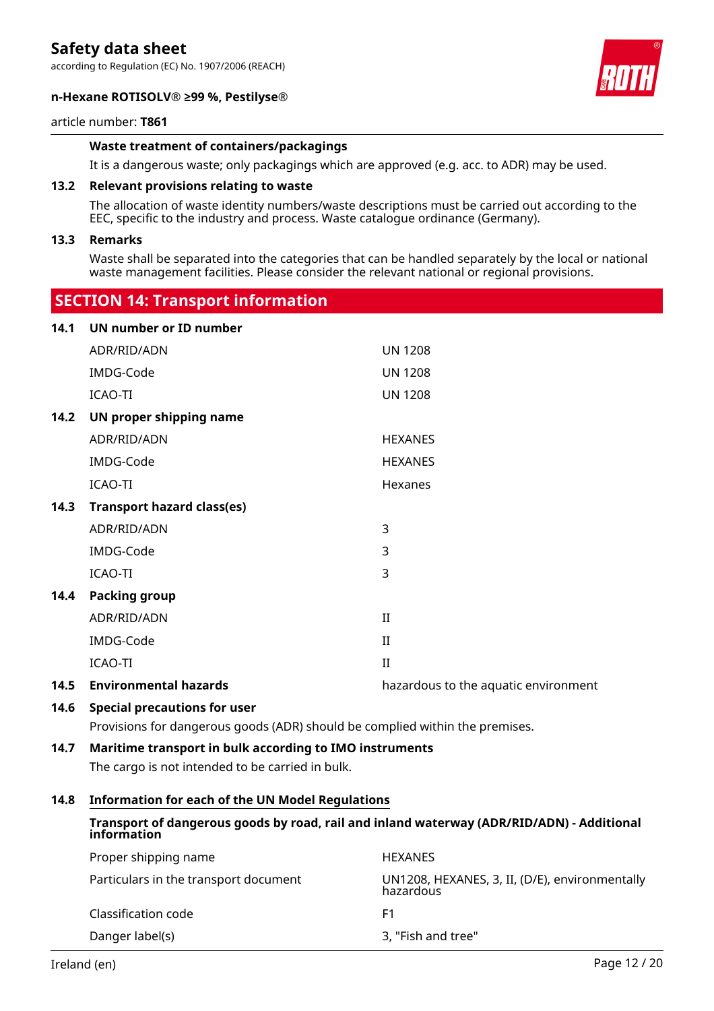according to Regulation (EC) No. 1907/2006 (REACH)

#### **n-Hexane ROTISOLV® ≥99 %, Pestilyse®**



#### article number: **T861**

# **Waste treatment of containers/packagings**

It is a dangerous waste; only packagings which are approved (e.g. acc. to ADR) may be used.

#### **13.2 Relevant provisions relating to waste**

 **SECTION 14: Transport information**

The allocation of waste identity numbers/waste descriptions must be carried out according to the EEC, specific to the industry and process. Waste catalogue ordinance (Germany).

#### **13.3 Remarks**

Waste shall be separated into the categories that can be handled separately by the local or national waste management facilities. Please consider the relevant national or regional provisions.

| 14.1 | UN number or ID number              |                                      |
|------|-------------------------------------|--------------------------------------|
|      | ADR/RID/ADN                         | <b>UN 1208</b>                       |
|      | IMDG-Code                           | <b>UN 1208</b>                       |
|      | <b>ICAO-TI</b>                      | <b>UN 1208</b>                       |
| 14.2 | UN proper shipping name             |                                      |
|      | ADR/RID/ADN                         | <b>HEXANES</b>                       |
|      | IMDG-Code                           | <b>HEXANES</b>                       |
|      | <b>ICAO-TI</b>                      | Hexanes                              |
| 14.3 | <b>Transport hazard class(es)</b>   |                                      |
|      | ADR/RID/ADN                         | 3                                    |
|      | IMDG-Code                           | 3                                    |
|      | <b>ICAO-TI</b>                      | 3                                    |
| 14.4 | <b>Packing group</b>                |                                      |
|      | ADR/RID/ADN                         | $\rm II$                             |
|      | IMDG-Code                           | $\rm II$                             |
|      | <b>ICAO-TI</b>                      | $\rm II$                             |
| 14.5 | <b>Environmental hazards</b>        | hazardous to the aquatic environment |
| 14.6 | <b>Special precautions for user</b> |                                      |

Provisions for dangerous goods (ADR) should be complied within the premises.

# **14.7 Maritime transport in bulk according to IMO instruments**

The cargo is not intended to be carried in bulk.

#### **14.8 Information for each of the UN Model Regulations**

# **Transport of dangerous goods by road, rail and inland waterway (ADR/RID/ADN) - Additional information**

| Proper shipping name                  | <b>HEXANES</b>                                              |
|---------------------------------------|-------------------------------------------------------------|
| Particulars in the transport document | UN1208, HEXANES, 3, II, (D/E), environmentally<br>hazardous |
| Classification code                   | F1                                                          |
| Danger label(s)                       | 3, "Fish and tree"                                          |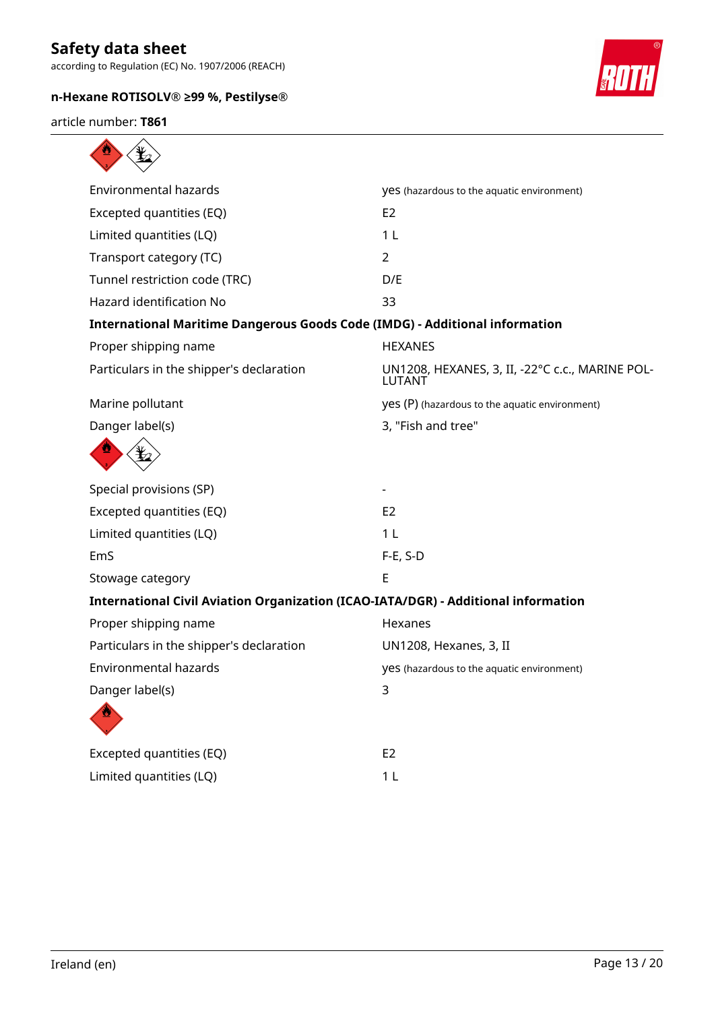according to Regulation (EC) No. 1907/2006 (REACH)

# **n-Hexane ROTISOLV® ≥99 %, Pestilyse®**



article number: **T861**

| <b>Environmental hazards</b>                                                       | yes (hazardous to the aquatic environment)                       |
|------------------------------------------------------------------------------------|------------------------------------------------------------------|
| Excepted quantities (EQ)                                                           | E <sub>2</sub>                                                   |
| Limited quantities (LQ)                                                            | 1 <sub>L</sub>                                                   |
| Transport category (TC)                                                            | $\overline{2}$                                                   |
| Tunnel restriction code (TRC)                                                      | D/E                                                              |
| Hazard identification No                                                           | 33                                                               |
| <b>International Maritime Dangerous Goods Code (IMDG) - Additional information</b> |                                                                  |
| Proper shipping name                                                               | <b>HEXANES</b>                                                   |
| Particulars in the shipper's declaration                                           | UN1208, HEXANES, 3, II, -22°C c.c., MARINE POL-<br><b>LUTANT</b> |
| Marine pollutant                                                                   | yes (P) (hazardous to the aquatic environment)                   |
| Danger label(s)                                                                    | 3, "Fish and tree"                                               |
|                                                                                    |                                                                  |
| Special provisions (SP)                                                            |                                                                  |
| Excepted quantities (EQ)                                                           | E <sub>2</sub>                                                   |
| Limited quantities (LQ)                                                            | 1 <sub>L</sub>                                                   |
| EmS                                                                                | $F-E$ , S-D                                                      |
| Stowage category                                                                   | E                                                                |
| International Civil Aviation Organization (ICAO-IATA/DGR) - Additional information |                                                                  |
| Proper shipping name                                                               | Hexanes                                                          |
| Particulars in the shipper's declaration                                           | UN1208, Hexanes, 3, II                                           |
| <b>Environmental hazards</b>                                                       | yes (hazardous to the aquatic environment)                       |
| Danger label(s)                                                                    | 3                                                                |
|                                                                                    |                                                                  |
| Excepted quantities (EQ)                                                           | E <sub>2</sub>                                                   |
| Limited quantities (LQ)                                                            | 1 <sub>L</sub>                                                   |
|                                                                                    |                                                                  |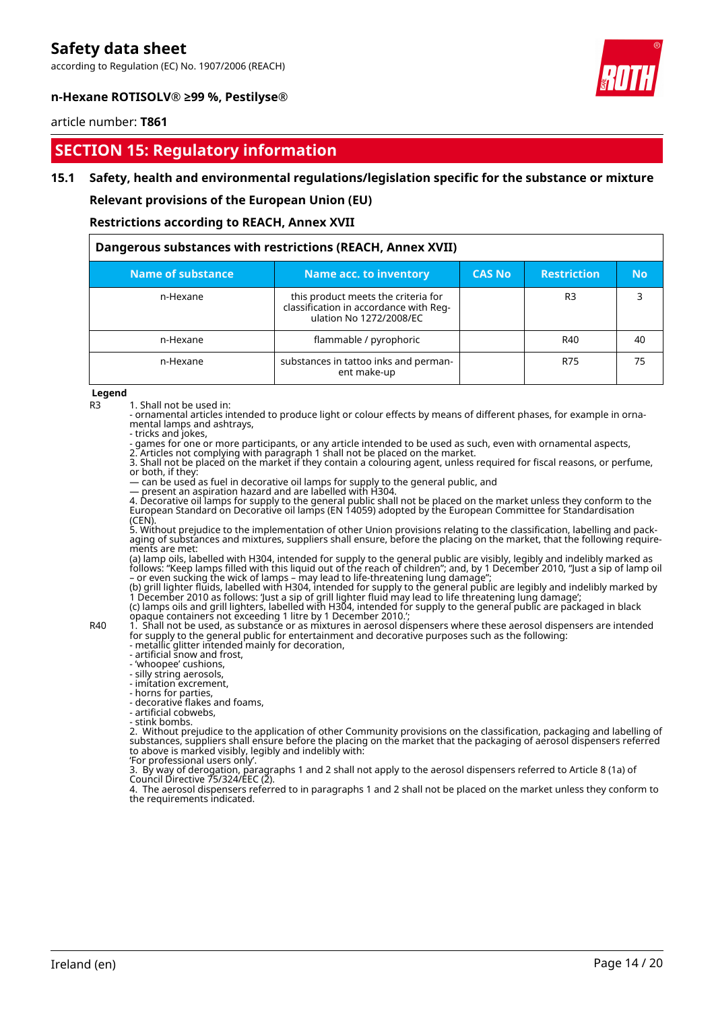according to Regulation (EC) No. 1907/2006 (REACH)



# **n-Hexane ROTISOLV® ≥99 %, Pestilyse®**

#### article number: **T861**

# **SECTION 15: Regulatory information**

# **15.1 Safety, health and environmental regulations/legislation specific for the substance or mixture**

**Relevant provisions of the European Union (EU)**

#### **Restrictions according to REACH, Annex XVII**

| Dangerous substances with restrictions (REACH, Annex XVII) |                                                                                                          |               |                    |           |
|------------------------------------------------------------|----------------------------------------------------------------------------------------------------------|---------------|--------------------|-----------|
| Name of substance                                          | Name acc. to inventory                                                                                   | <b>CAS No</b> | <b>Restriction</b> | <b>No</b> |
| n-Hexane                                                   | this product meets the criteria for<br>classification in accordance with Reg-<br>ulation No 1272/2008/EC |               | R3                 |           |
| n-Hexane                                                   | flammable / pyrophoric                                                                                   |               | R40                | 40        |
| n-Hexane                                                   | substances in tattoo inks and perman-<br>ent make-up                                                     |               | R75                | 75        |

**Legend**

R3 1. Shall not be used in:

- ornamental articles intended to produce light or colour effects by means of different phases, for example in ornamental lamps and ashtrays,

- tricks and jokes,

- games for one or more participants, or any article intended to be used as such, even with ornamental aspects, 2. Articles not complying with paragraph 1 shall not be placed on the market.

3. Shall not be placed on the market if they contain a colouring agent, unless required for fiscal reasons, or perfume, or both, if they:

— can be used as fuel in decorative oil lamps for supply to the general public, and

— present an aspiration hazard and are labelled with H304.

4. Decorative oil lamps for supply to the general public shall not be placed on the market unless they conform to the European Standard on Decorative oil lamps (EN 14059) adopted by the European Committee for Standardisation (CEN).

5. Without prejudice to the implementation of other Union provisions relating to the classification, labelling and packaging of substances and mixtures, suppliers shall ensure, before the placing on the market, that the following requirements are met:

(a) lamp oils, labelled with H304, intended for supply to the general public are visibly, legibly and indelibly marked as follows: "Keep lamps filled with this liquid out of the reach of children"; and, by 1 December 2010, "Just a sip of lamp oil – or even sucking the wick of lamps – may lead to life-threatening lung damage";

(b) grill lighter fluids, labelled with H304, intended for supply to the general public are legibly and indelibly marked by 1 December 2010 as follows: 'Just a sip of grill lighter fluid may lead to life threatening lung damage'; (c) lamps oils and grill lighters, labelled with H304, intended for supply to the general public are packaged in black opaque containers not exceeding 1 litre by 1 December 2010.';

R40 1. Shall not be used, as substance or as mixtures in aerosol dispensers where these aerosol dispensers are intended for supply to the general public for entertainment and decorative purposes such as the following:

- metallic glitter intended mainly for decoration, - artificial snow and frost,

- 'whoopee' cushions,

- silly string aerosols,

- imitation excrement,

- horns for parties,

- decorative flakes and foams,

- artificial cobwebs,

- stink bombs.

2. Without prejudice to the application of other Community provisions on the classification, packaging and labelling of substances, suppliers shall ensure before the placing on the market that the packaging of aerosol dispensers referred to above is marked visibly, legibly and indelibly with:

'For professional users only'.

3. By way of derogation, paragraphs 1 and 2 shall not apply to the aerosol dispensers referred to Article 8 (1a) of Council Directive 75/324/EEC (2).

4. The aerosol dispensers referred to in paragraphs 1 and 2 shall not be placed on the market unless they conform to the requirements indicated.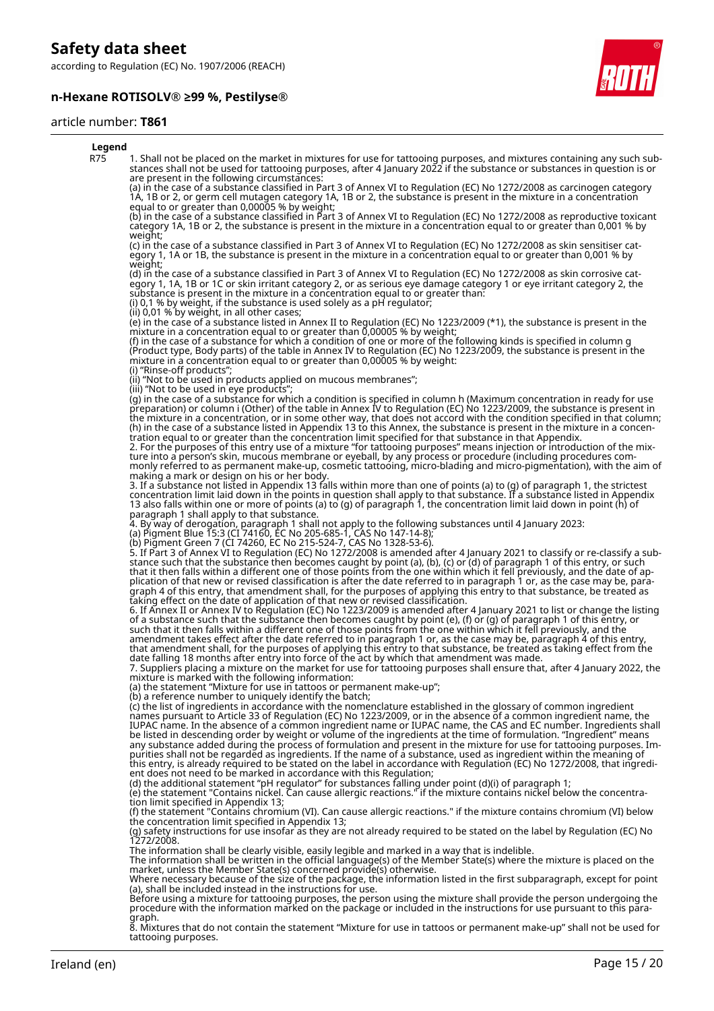according to Regulation (EC) No. 1907/2006 (REACH)

# **n-Hexane ROTISOLV® ≥99 %, Pestilyse®**



# article number: **T861**

| Legend |                                                                                                                                                                                                                                                                                                                                                                                                                                                                                                                                                                                                                                                                                                                                                                                                                                                                                                                                                                                     |
|--------|-------------------------------------------------------------------------------------------------------------------------------------------------------------------------------------------------------------------------------------------------------------------------------------------------------------------------------------------------------------------------------------------------------------------------------------------------------------------------------------------------------------------------------------------------------------------------------------------------------------------------------------------------------------------------------------------------------------------------------------------------------------------------------------------------------------------------------------------------------------------------------------------------------------------------------------------------------------------------------------|
| R75    | 1. Shall not be placed on the market in mixtures for use for tattooing purposes, and mixtures containing any such sub-<br>stances shall not be used for tattooing purposes, after 4 January 2022 if the substance or substances in question is or<br>are present in the following circumstances:                                                                                                                                                                                                                                                                                                                                                                                                                                                                                                                                                                                                                                                                                    |
|        | (a) in the case of a substance classified in Part 3 of Annex VI to Regulation (EC) No 1272/2008 as carcinogen category<br>1A, 1B or 2, or germ cell mutagen category 1A, 1B or 2, the substance is present in the mixture in a concentration<br>equal to or greater than 0,00005 % by weight;                                                                                                                                                                                                                                                                                                                                                                                                                                                                                                                                                                                                                                                                                       |
|        | (b) in the case of a substance classified in Part 3 of Annex VI to Regulation (EC) No 1272/2008 as reproductive toxicant<br>category 1A, 1B or 2, the substance is present in the mixture in a concentration equal to or greater than 0,001 % by<br>weight;                                                                                                                                                                                                                                                                                                                                                                                                                                                                                                                                                                                                                                                                                                                         |
|        | (c) in the case of a substance classified in Part 3 of Annex VI to Regulation (EC) No 1272/2008 as skin sensitiser cat-<br>egory 1, 1A or 1B, the substance is present in the mixture in a concentration equal to or greater than 0,001 % by<br>weight;                                                                                                                                                                                                                                                                                                                                                                                                                                                                                                                                                                                                                                                                                                                             |
|        | (d) in the case of a substance classified in Part 3 of Annex VI to Regulation (EC) No 1272/2008 as skin corrosive cat-<br>egory 1, 1A, 1B or 1C or skin irritant category 2, or as serious eye damage category 1 or eye irritant category 2, the<br>substance is present in the mixture in a concentration equal to or greater than.<br>(i) 0,1 % by weight, if the substance is used solely as a pH regulator;                                                                                                                                                                                                                                                                                                                                                                                                                                                                                                                                                                     |
|        | (ii) 0,01 % by weight, in all other cases;<br>(e) in the case of a substance listed in Annex II to Regulation (EC) No 1223/2009 (*1), the substance is present in the                                                                                                                                                                                                                                                                                                                                                                                                                                                                                                                                                                                                                                                                                                                                                                                                               |
|        | mixture in a concentration equal to or greater than 0,00005 % by weight;<br>(f) in the case of a substance for which a condition of one or more of the following kinds is specified in column g<br>(Product type, Body parts) of the table in Annex IV to Regulation (EC) No 1223/2009, the substance is present in the<br>mixture in a concentration equal to or greater than 0,00005 % by weight:                                                                                                                                                                                                                                                                                                                                                                                                                                                                                                                                                                                 |
|        | (i) "Rinse-off products";<br>(ii) "Not to be used in products applied on mucous membranes";<br>(iii) "Not to be used in eye products";                                                                                                                                                                                                                                                                                                                                                                                                                                                                                                                                                                                                                                                                                                                                                                                                                                              |
|        | (g) in the case of a substance for which a condition is specified in column h (Maximum concentration in ready for use<br>preparation) or column i (Other) of the table in Annex IV to Regulation (EC) No 1223/2009, the substance is present in<br>the mixture in a concentration, or in some other way, that does not accord with the condition specified in that column;<br>(h) in the case of a substance listed in Appendix 13 to this Annex, the substance is present in the mixture in a concen-<br>tration equal to or greater than the concentration limit specified for that substance in that Appendix.<br>2. For the purposes of this entry use of a mixture "for tattooing purposes" means injection or introduction of the mix-<br>ture into a person's skin, mucous membrane or eyeball, by any process or procedure (including procedures com-<br>monly referred to as permanent make-up, cosmetic tattooing, micro-blading and micro-pigmentation), with the aim of |
|        | making a mark or design on his or her body.<br>3. If a substance not listed in Appendix 13 falls within more than one of points (a) to (g) of paragraph 1, the strictest<br>concentration limit laid down in the points in question shall apply to that substance. If a substance listed in Appendix<br>13 also falls within one or more of points (a) to (g) of paragraph 1, the concentration limit laid down in point (h) of                                                                                                                                                                                                                                                                                                                                                                                                                                                                                                                                                     |
|        | paragraph 1 shall apply to that substance.<br>4. By way of derogation, paragraph 1 shall not apply to the following substances until 4 January 2023:<br>(a) Pigment Blue 15:3 (CI 74160, EC No 205-685-1, CAS No 147-14-8);                                                                                                                                                                                                                                                                                                                                                                                                                                                                                                                                                                                                                                                                                                                                                         |
|        | (b) Pigment Green 7 (CI 74260, EC No 215-524-7, CAS No 1328-53-6).<br>5. If Part 3 of Annex VI to Regulation (EC) No 1272/2008 is amended after 4 January 2021 to classify or re-classify a sub-<br>stance such that the substance then becomes caught by point (a), (b), (c) or (d) of paragraph 1 of this entry, or such                                                                                                                                                                                                                                                                                                                                                                                                                                                                                                                                                                                                                                                          |
|        | that it then falls within a different one of those points from the one within which it fell previously, and the date of ap-<br>plication of that new or revised classification is after the date referred to in paragraph 1 or, as the case may be, para-<br>graph 4 of this entry, that amendment shall, for the purposes of applying this entry to that substance, be treated as<br>taking effect on the date of application of that new or revised classification.                                                                                                                                                                                                                                                                                                                                                                                                                                                                                                               |
|        | 6. If Annex II or Annex IV to Regulation (EC) No 1223/2009 is amended after 4 January 2021 to list or change the listing<br>of a substance such that the substance then becomes caught by point (e), (f) or (g) of paragraph 1 of this entry, or<br>such that it then falls within a different one of those points from the one within which it fell previously, and the<br>amendment takes effect after the date referred to in paragraph 1 or, as the case may be, paragraph 4 of this entry,<br>that amendment shall, for the purposes of applying this entry to that substance, be treated as taking effect from the<br>date falling 18 months after entry into force of the act by which that amendment was made.<br>7. Suppliers placing a mixture on the market for use for tattooing purposes shall ensure that, after 4 January 2022, the                                                                                                                                  |
|        | mixture is marked with the following information:<br>(a) the statement "Mixture for use in tattoos or permanent make-up";                                                                                                                                                                                                                                                                                                                                                                                                                                                                                                                                                                                                                                                                                                                                                                                                                                                           |
|        | (b) a reference number to uniquely identify the batch;<br>(c) the list of ingredients in accordance with the nomenclature established in the glossary of common ingredient<br>names pursuant to Article 33 of Regulation (EC) No 1223/2009, or in the absence of a common ingredient name, the<br>IUPAC name. In the absence of a common ingredient name or IUPAC name, the CAS and EC number. Ingredients shall<br>be listed in descending order by weight or volume of the ingredients at the time of formulation. "Ingredient" means<br>any substance added during the process of formulation and present in the mixture for use for tattooing purposes. Im-                                                                                                                                                                                                                                                                                                                     |
|        | purities shall not be regarded as ingredients. If the name of a substance, used as ingredient within the meaning of<br>this entry, is already required to be stated on the label in accordance with Regulation (EC) No 1272/2008, that ingredi-<br>ent does not need to be marked in accordance with this Regulation;                                                                                                                                                                                                                                                                                                                                                                                                                                                                                                                                                                                                                                                               |
|        | (d) the additional statement "pH regulator" for substances falling under point (d)(i) of paragraph 1;<br>(e) the statement "Contains nickel. Can cause allergic reactions." if the mixture contains nickel below the concentra-<br>tion limit specified in Appendix 13;                                                                                                                                                                                                                                                                                                                                                                                                                                                                                                                                                                                                                                                                                                             |
|        | (f) the statement "Contains chromium (VI). Can cause allergic reactions." if the mixture contains chromium (VI) below<br>the concentration limit specified in Appendix 13;<br>(g) safety instructions for use insofar as they are not already required to be stated on the label by Regulation (EC) No                                                                                                                                                                                                                                                                                                                                                                                                                                                                                                                                                                                                                                                                              |
|        | 1272/2008.<br>The information shall be clearly visible, easily legible and marked in a way that is indelible.                                                                                                                                                                                                                                                                                                                                                                                                                                                                                                                                                                                                                                                                                                                                                                                                                                                                       |
|        | The information shall be written in the official language(s) of the Member State(s) where the mixture is placed on the<br>market, unless the Member State(s) concerned provide(s) otherwise.<br>Where necessary because of the size of the package, the information listed in the first subparagraph, except for point                                                                                                                                                                                                                                                                                                                                                                                                                                                                                                                                                                                                                                                              |
|        | (a), shall be included instead in the instructions for use.<br>Before using a mixture for tattooing purposes, the person using the mixture shall provide the person undergoing the<br>procedure with the information marked on the package or included in the instructions for use pursuant to t<br>graph.                                                                                                                                                                                                                                                                                                                                                                                                                                                                                                                                                                                                                                                                          |

8. Mixtures that do not contain the statement "Mixture for use in tattoos or permanent make-up" shall not be used for tattooing purposes.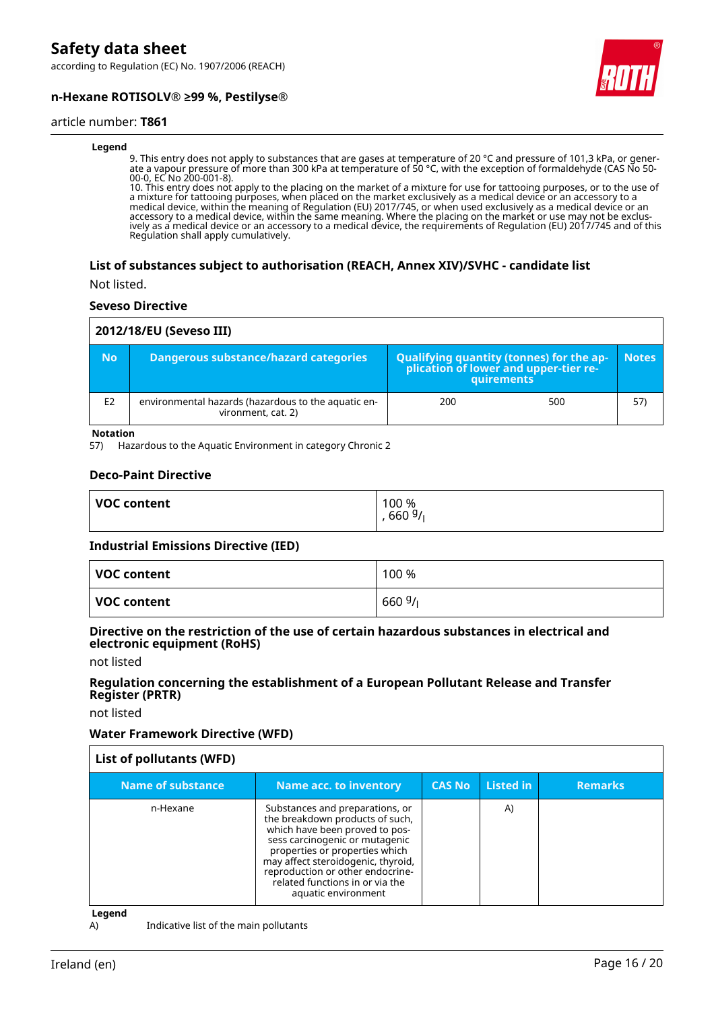according to Regulation (EC) No. 1907/2006 (REACH)



# **n-Hexane ROTISOLV® ≥99 %, Pestilyse®**

#### article number: **T861**

#### **Legend**

9. This entry does not apply to substances that are gases at temperature of 20 °C and pressure of 101,3 kPa, or generate a vapour pressure of more than 300 kPa at temperature of 50 °C, with the exception of formaldehyde (CAS No 50- 00-0, EC No 200-001-8).

10. This entry does not apply to the placing on the market of a mixture for use for tattooing purposes, or to the use of a mixture for tattooing purposes, when placed on the market exclusively as a medical device or an accessory to a medical device, within the meaning of Regulation (EU) 2017/745, or when used exclusively as a medical device or an accessory to a medical device, within the same meaning. Where the placing on the market or use may not be exclusively as a medical device or an accessory to a medical device, the requirements of Regulation (EU) 2017/745 and of this Regulation shall apply cumulatively.

#### **List of substances subject to authorisation (REACH, Annex XIV)/SVHC - candidate list**

Not listed.

#### **Seveso Directive**

| 2012/18/EU (Seveso III) |                                                                           |                                                                                                    |     |              |
|-------------------------|---------------------------------------------------------------------------|----------------------------------------------------------------------------------------------------|-----|--------------|
| <b>No</b>               | Dangerous substance/hazard categories                                     | Qualifying quantity (tonnes) for the ap-<br> - plication of lower and upper-tier re-<br>quirements |     | <b>Notes</b> |
| E <sub>2</sub>          | environmental hazards (hazardous to the aquatic en-<br>vironment, cat. 2) | 200                                                                                                | 500 | 57)          |

**Notation**

57) Hazardous to the Aquatic Environment in category Chronic 2

#### **Deco-Paint Directive**

| <b>VOC content</b> | 100 %<br>660 $9/$ |
|--------------------|-------------------|
|                    |                   |

#### **Industrial Emissions Directive (IED)**

| VOC content | 100 % |
|-------------|-------|
| VOC content | 6609/ |

#### **Directive on the restriction of the use of certain hazardous substances in electrical and electronic equipment (RoHS)**

not listed

#### **Regulation concerning the establishment of a European Pollutant Release and Transfer Register (PRTR)**

not listed

#### **Water Framework Directive (WFD)**

| List of pollutants (WFD) |                                                                                                                                                                                                                                                                                                              |               |           |                |
|--------------------------|--------------------------------------------------------------------------------------------------------------------------------------------------------------------------------------------------------------------------------------------------------------------------------------------------------------|---------------|-----------|----------------|
| <b>Name of substance</b> | <b>Name acc. to inventory</b>                                                                                                                                                                                                                                                                                | <b>CAS No</b> | Listed in | <b>Remarks</b> |
| n-Hexane                 | Substances and preparations, or<br>the breakdown products of such,<br>which have been proved to pos-<br>sess carcinogenic or mutagenic<br>properties or properties which<br>may affect steroidogenic, thyroid,<br>reproduction or other endocrine-<br>related functions in or via the<br>aquatic environment |               | A)        |                |

**Legend**

A) Indicative list of the main pollutants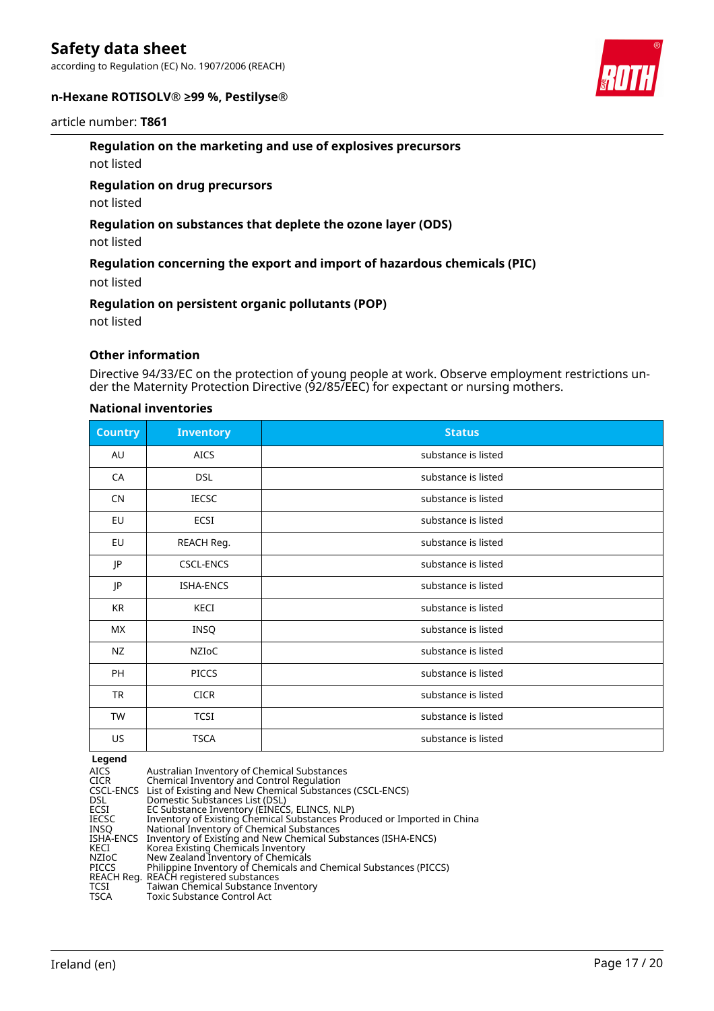according to Regulation (EC) No. 1907/2006 (REACH)

# **n-Hexane ROTISOLV® ≥99 %, Pestilyse®**

#### article number: **T861**

### **Regulation on the marketing and use of explosives precursors**

not listed

#### **Regulation on drug precursors**

not listed

# **Regulation on substances that deplete the ozone layer (ODS)**

not listed

# **Regulation concerning the export and import of hazardous chemicals (PIC)**

not listed

#### **Regulation on persistent organic pollutants (POP)**

not listed

# **Other information**

Directive 94/33/EC on the protection of young people at work. Observe employment restrictions under the Maternity Protection Directive (92/85/EEC) for expectant or nursing mothers.

#### **National inventories**

| <b>Country</b> | <b>Inventory</b> | <b>Status</b>       |
|----------------|------------------|---------------------|
| AU             | <b>AICS</b>      | substance is listed |
| CA             | <b>DSL</b>       | substance is listed |
| <b>CN</b>      | <b>IECSC</b>     | substance is listed |
| EU             | ECSI             | substance is listed |
| EU             | REACH Reg.       | substance is listed |
| JP             | <b>CSCL-ENCS</b> | substance is listed |
| JP             | ISHA-ENCS        | substance is listed |
| KR             | KECI             | substance is listed |
| <b>MX</b>      | INSQ             | substance is listed |
| <b>NZ</b>      | NZIoC            | substance is listed |
| PH             | <b>PICCS</b>     | substance is listed |
| <b>TR</b>      | <b>CICR</b>      | substance is listed |
| TW             | <b>TCSI</b>      | substance is listed |
| US             | <b>TSCA</b>      | substance is listed |

#### **Legend**

| Australian Inventory of Chemical Substances<br>Chemical Inventory and Control Regulation |
|------------------------------------------------------------------------------------------|
| CSCL-ENCS List of Existing and New Chemical Substances (CSCL-ENCS)                       |
| Domestic Substances List (DSL)                                                           |
| EC Substance Inventory (EINECS, ELINCS, NLP)                                             |
| Inventory of Existing Chemical Substances Produced or Imported in China                  |
| National Inventory of Chemical Substances                                                |
| ISHA-ENCS Inventory of Existing and New Chemical Substances (ISHA-ENCS)                  |
| Korea Existing Chemicals Inventory                                                       |
| New Zealand Inventory of Chemicals                                                       |
| Philippine Inventory of Chemicals and Chemical Substances (PICCS)                        |
| REACH Reg. REACH registered substances                                                   |
| Taiwan Chemical Substance Inventory                                                      |
| Toxic Substance Control Act                                                              |
|                                                                                          |

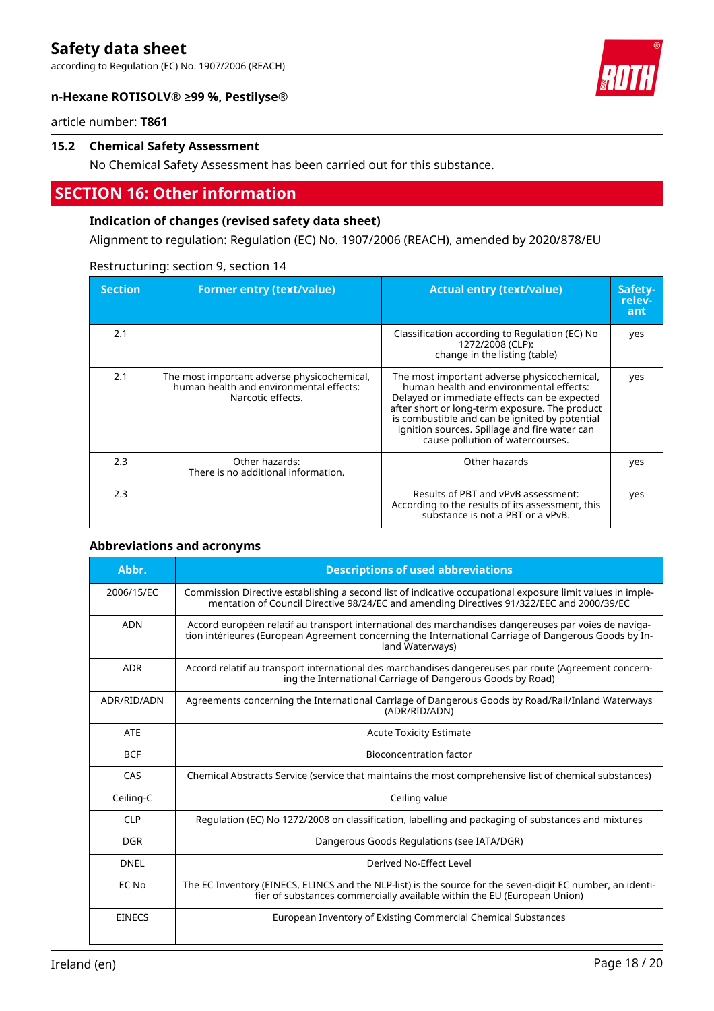according to Regulation (EC) No. 1907/2006 (REACH)



article number: **T861**

# **15.2 Chemical Safety Assessment**

No Chemical Safety Assessment has been carried out for this substance.

# **SECTION 16: Other information**

# **Indication of changes (revised safety data sheet)**

Alignment to regulation: Regulation (EC) No. 1907/2006 (REACH), amended by 2020/878/EU

| <b>Section</b> | <b>Former entry (text/value)</b>                                                                            | <b>Actual entry (text/value)</b>                                                                                                                                                                                                                                                                                                | Safety-<br>relev-<br>ant |
|----------------|-------------------------------------------------------------------------------------------------------------|---------------------------------------------------------------------------------------------------------------------------------------------------------------------------------------------------------------------------------------------------------------------------------------------------------------------------------|--------------------------|
| 2.1            |                                                                                                             | Classification according to Regulation (EC) No<br>1272/2008 (CLP):<br>change in the listing (table)                                                                                                                                                                                                                             | yes                      |
| 2.1            | The most important adverse physicochemical,<br>human health and environmental effects:<br>Narcotic effects. | The most important adverse physicochemical,<br>human health and environmental effects:<br>Delayed or immediate effects can be expected<br>after short or long-term exposure. The product<br>is combustible and can be ignited by potential<br>ignition sources. Spillage and fire water can<br>cause pollution of watercourses. | yes                      |
| 2.3            | Other hazards:<br>There is no additional information.                                                       | Other hazards                                                                                                                                                                                                                                                                                                                   | yes                      |
| 2.3            |                                                                                                             | Results of PBT and vPvB assessment:<br>According to the results of its assessment, this<br>substance is not a PBT or a vPvB.                                                                                                                                                                                                    | yes                      |

#### Restructuring: section 9, section 14

#### **Abbreviations and acronyms**

| Abbr.         | <b>Descriptions of used abbreviations</b>                                                                                                                                                                                       |
|---------------|---------------------------------------------------------------------------------------------------------------------------------------------------------------------------------------------------------------------------------|
| 2006/15/EC    | Commission Directive establishing a second list of indicative occupational exposure limit values in imple-<br>mentation of Council Directive 98/24/EC and amending Directives 91/322/EEC and 2000/39/EC                         |
| <b>ADN</b>    | Accord européen relatif au transport international des marchandises dangereuses par voies de naviga-<br>tion intérieures (European Agreement concerning the International Carriage of Dangerous Goods by In-<br>land Waterways) |
| ADR           | Accord relatif au transport international des marchandises dangereuses par route (Agreement concern-<br>ing the International Carriage of Dangerous Goods by Road)                                                              |
| ADR/RID/ADN   | Agreements concerning the International Carriage of Dangerous Goods by Road/Rail/Inland Waterways<br>(ADR/RID/ADN)                                                                                                              |
| <b>ATE</b>    | <b>Acute Toxicity Estimate</b>                                                                                                                                                                                                  |
| <b>BCF</b>    | Bioconcentration factor                                                                                                                                                                                                         |
| CAS           | Chemical Abstracts Service (service that maintains the most comprehensive list of chemical substances)                                                                                                                          |
| Ceiling-C     | Ceiling value                                                                                                                                                                                                                   |
| <b>CLP</b>    | Regulation (EC) No 1272/2008 on classification, labelling and packaging of substances and mixtures                                                                                                                              |
| <b>DGR</b>    | Dangerous Goods Regulations (see IATA/DGR)                                                                                                                                                                                      |
| <b>DNEL</b>   | Derived No-Effect Level                                                                                                                                                                                                         |
| EC No         | The EC Inventory (EINECS, ELINCS and the NLP-list) is the source for the seven-digit EC number, an identi-<br>fier of substances commercially available within the EU (European Union)                                          |
| <b>EINECS</b> | European Inventory of Existing Commercial Chemical Substances                                                                                                                                                                   |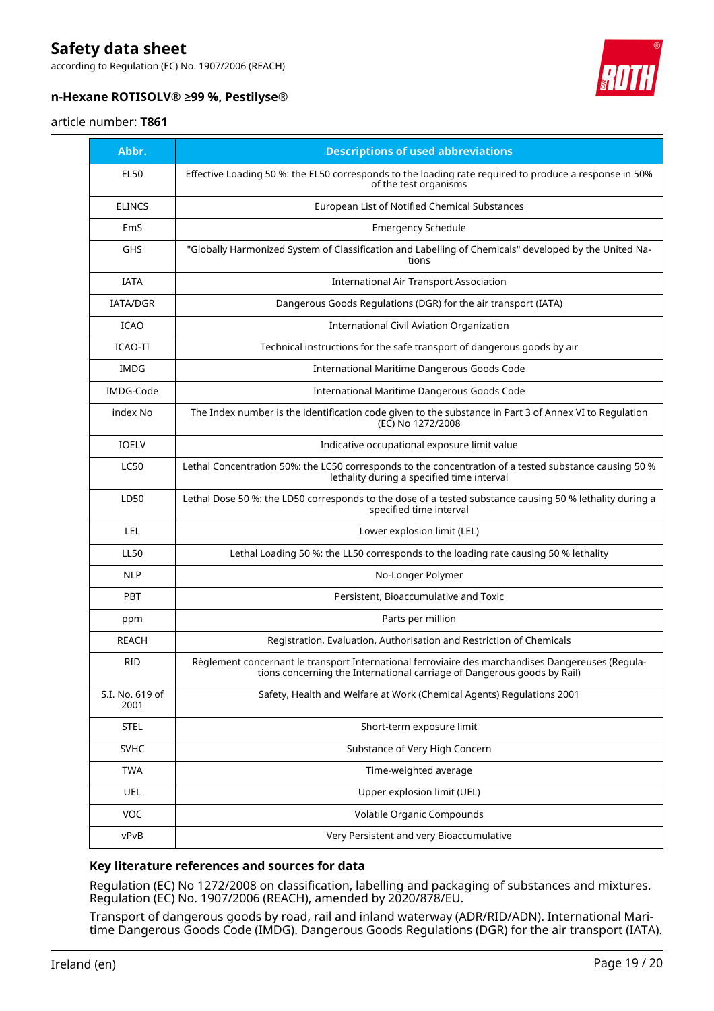according to Regulation (EC) No. 1907/2006 (REACH)



# **n-Hexane ROTISOLV® ≥99 %, Pestilyse®**

#### article number: **T861**

| Abbr.                   | <b>Descriptions of used abbreviations</b>                                                                                                                                    |
|-------------------------|------------------------------------------------------------------------------------------------------------------------------------------------------------------------------|
| <b>EL50</b>             | Effective Loading 50 %: the EL50 corresponds to the loading rate required to produce a response in 50%<br>of the test organisms                                              |
| <b>ELINCS</b>           | European List of Notified Chemical Substances                                                                                                                                |
| EmS                     | <b>Emergency Schedule</b>                                                                                                                                                    |
| <b>GHS</b>              | "Globally Harmonized System of Classification and Labelling of Chemicals" developed by the United Na-<br>tions                                                               |
| <b>IATA</b>             | <b>International Air Transport Association</b>                                                                                                                               |
| <b>IATA/DGR</b>         | Dangerous Goods Regulations (DGR) for the air transport (IATA)                                                                                                               |
| <b>ICAO</b>             | International Civil Aviation Organization                                                                                                                                    |
| ICAO-TI                 | Technical instructions for the safe transport of dangerous goods by air                                                                                                      |
| <b>IMDG</b>             | International Maritime Dangerous Goods Code                                                                                                                                  |
| IMDG-Code               | International Maritime Dangerous Goods Code                                                                                                                                  |
| index No                | The Index number is the identification code given to the substance in Part 3 of Annex VI to Regulation<br>(EC) No 1272/2008                                                  |
| <b>IOELV</b>            | Indicative occupational exposure limit value                                                                                                                                 |
| <b>LC50</b>             | Lethal Concentration 50%: the LC50 corresponds to the concentration of a tested substance causing 50 %<br>lethality during a specified time interval                         |
| LD50                    | Lethal Dose 50 %: the LD50 corresponds to the dose of a tested substance causing 50 % lethality during a<br>specified time interval                                          |
| LEL                     | Lower explosion limit (LEL)                                                                                                                                                  |
| <b>LL50</b>             | Lethal Loading 50 %: the LL50 corresponds to the loading rate causing 50 % lethality                                                                                         |
| <b>NLP</b>              | No-Longer Polymer                                                                                                                                                            |
| <b>PBT</b>              | Persistent, Bioaccumulative and Toxic                                                                                                                                        |
| ppm                     | Parts per million                                                                                                                                                            |
| REACH                   | Registration, Evaluation, Authorisation and Restriction of Chemicals                                                                                                         |
| <b>RID</b>              | Règlement concernant le transport International ferroviaire des marchandises Dangereuses (Regula-<br>tions concerning the International carriage of Dangerous goods by Rail) |
| S.I. No. 619 of<br>2001 | Safety, Health and Welfare at Work (Chemical Agents) Regulations 2001                                                                                                        |
| <b>STEL</b>             | Short-term exposure limit                                                                                                                                                    |
| <b>SVHC</b>             | Substance of Very High Concern                                                                                                                                               |
| <b>TWA</b>              | Time-weighted average                                                                                                                                                        |
| <b>UEL</b>              | Upper explosion limit (UEL)                                                                                                                                                  |
| <b>VOC</b>              | <b>Volatile Organic Compounds</b>                                                                                                                                            |
| vPvB                    | Very Persistent and very Bioaccumulative                                                                                                                                     |

# **Key literature references and sources for data**

Regulation (EC) No 1272/2008 on classification, labelling and packaging of substances and mixtures. Regulation (EC) No. 1907/2006 (REACH), amended by 2020/878/EU.

Transport of dangerous goods by road, rail and inland waterway (ADR/RID/ADN). International Maritime Dangerous Goods Code (IMDG). Dangerous Goods Regulations (DGR) for the air transport (IATA).